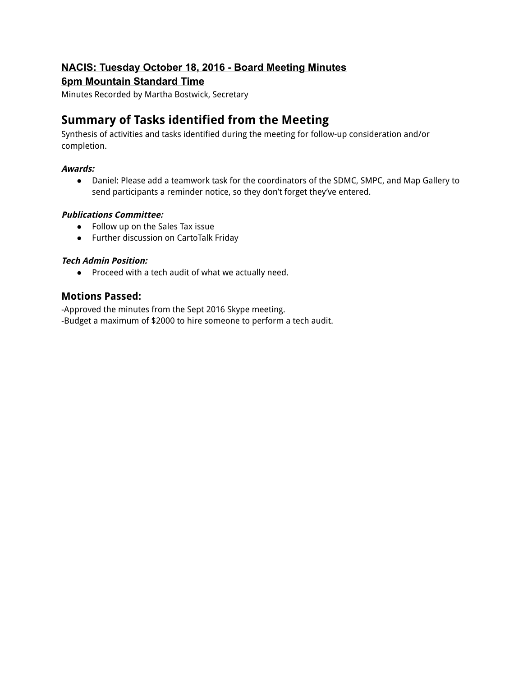# **NACIS: Tuesday October 18, 2016 Board Meeting Minutes**

# **6pm Mountain Standard Time**

Minutes Recorded by Martha Bostwick, Secretary

# **Summary of Tasks identified from the Meeting**

Synthesis of activities and tasks identified during the meeting for follow-up consideration and/or completion.

# **Awards:**

● Daniel: Please add a teamwork task for the coordinators of the SDMC, SMPC, and Map Gallery to send participants a reminder notice, so they don't forget they've entered.

# **Publications Committee:**

- Follow up on the Sales Tax issue
- Further discussion on CartoTalk Friday

# **Tech Admin Position:**

● Proceed with a tech audit of what we actually need.

# **Motions Passed:**

-Approved the minutes from the Sept 2016 Skype meeting. -Budget a maximum of \$2000 to hire someone to perform a tech audit.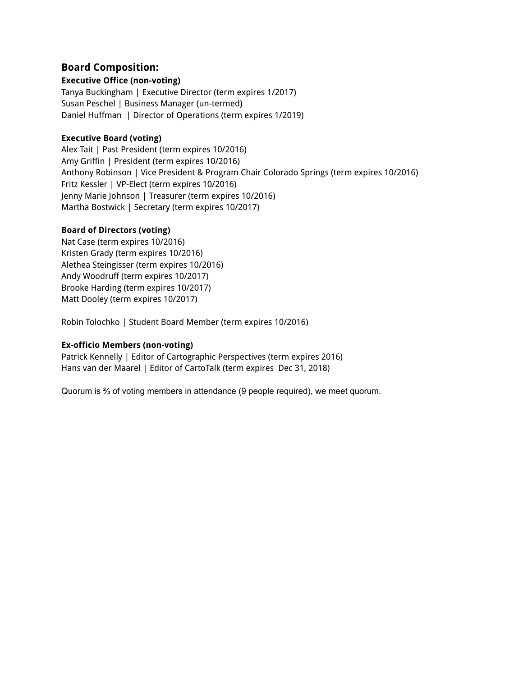# **Board Composition:**

#### **Executive Office (non-voting)**

Tanya Buckingham | Executive Director (term expires 1/2017) Susan Peschel | Business Manager (un-termed) Daniel Huffman | Director of Operations (term expires 1/2019)

#### **Executive Board (voting)**

Alex Tait | Past President (term expires 10/2016) Amy Griffin | President (term expires 10/2016) Anthony Robinson | Vice President & Program Chair Colorado Springs (term expires 10/2016) Fritz Kessler | VP-Elect (term expires 10/2016) Jenny Marie Johnson | Treasurer (term expires 10/2016) Martha Bostwick | Secretary (term expires 10/2017)

# **Board of Directors (voting)**

Nat Case (term expires 10/2016) Kristen Grady (term expires 10/2016) Alethea Steingisser (term expires 10/2016) Andy Woodruff (term expires 10/2017) Brooke Harding (term expires 10/2017) Matt Dooley (term expires 10/2017)

Robin Tolochko | Student Board Member (term expires 10/2016)

# **Ex-officio Members (non-voting)**

Patrick Kennelly | Editor of Cartographic Perspectives (term expires 2016) Hans van der Maarel | Editor of CartoTalk (term expires Dec 31, 2018)

Quorum is ⅔ of voting members in attendance (9 people required), we meet quorum.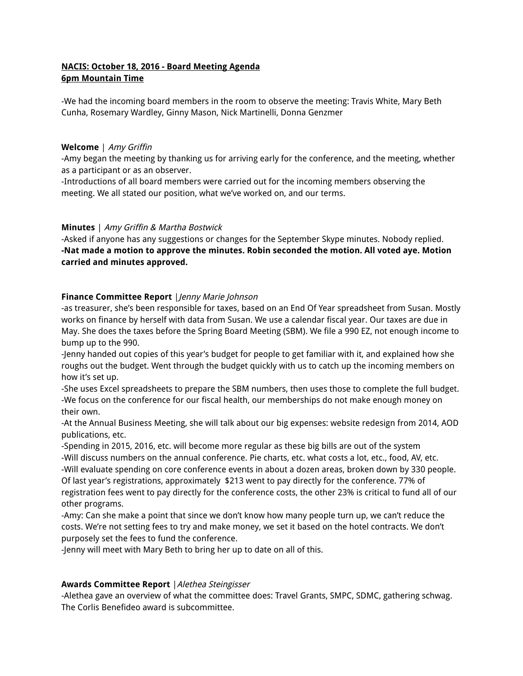# **NACIS: October 18, 2016 - Board Meeting Agenda 6pm Mountain Time**

-We had the incoming board members in the room to observe the meeting: Travis White, Mary Beth Cunha, Rosemary Wardley, Ginny Mason, Nick Martinelli, Donna Genzmer

#### **Welcome** | Amy Griffin

-Amy began the meeting by thanking us for arriving early for the conference, and the meeting, whether as a participant or as an observer.

-Introductions of all board members were carried out for the incoming members observing the meeting. We all stated our position, what we've worked on, and our terms.

# **Minutes** | Amy Griffin & Martha Bostwick

-Asked if anyone has any suggestions or changes for the September Skype minutes. Nobody replied. **-Nat made a motion to approve the minutes. Robin seconded the motion. All voted aye. Motion carried and minutes approved.**

#### **Finance Committee Report** | Jenny Marie Johnson

-as treasurer, she's been responsible for taxes, based on an End Of Year spreadsheet from Susan. Mostly works on finance by herself with data from Susan. We use a calendar fiscal year. Our taxes are due in May. She does the taxes before the Spring Board Meeting (SBM). We file a 990 EZ, not enough income to bump up to the 990.

-Jenny handed out copies of this year's budget for people to get familiar with it, and explained how she roughs out the budget. Went through the budget quickly with us to catch up the incoming members on how it's set up.

-She uses Excel spreadsheets to prepare the SBM numbers, then uses those to complete the full budget. -We focus on the conference for our fiscal health, our memberships do not make enough money on their own.

-At the Annual Business Meeting, she will talk about our big expenses: website redesign from 2014, AOD publications, etc.

-Spending in 2015, 2016, etc. will become more regular as these big bills are out of the system -Will discuss numbers on the annual conference. Pie charts, etc. what costs a lot, etc., food, AV, etc. -Will evaluate spending on core conference events in about a dozen areas, broken down by 330 people. Of last year's registrations, approximately \$213 went to pay directly for the conference. 77% of registration fees went to pay directly for the conference costs, the other 23% is critical to fund all of our other programs.

-Amy: Can she make a point that since we don't know how many people turn up, we can't reduce the costs. We're not setting fees to try and make money, we set it based on the hotel contracts. We don't purposely set the fees to fund the conference.

-Jenny will meet with Mary Beth to bring her up to date on all of this.

# **Awards Committee Report** |Alethea Steingisser

-Alethea gave an overview of what the committee does: Travel Grants, SMPC, SDMC, gathering schwag. The Corlis Benefideo award is subcommittee.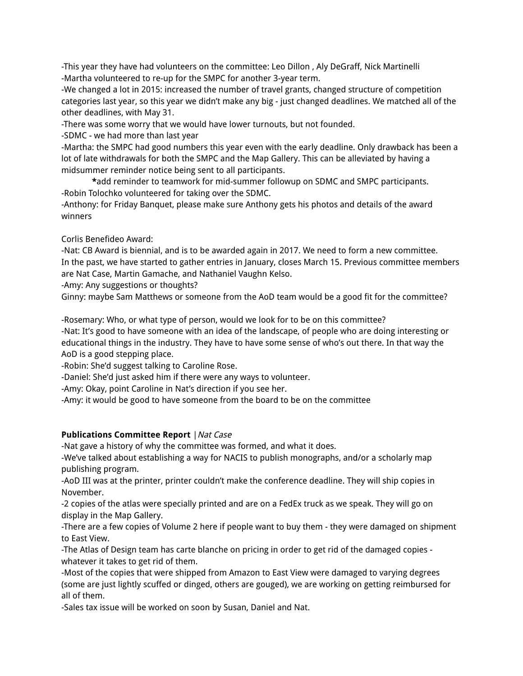-This year they have had volunteers on the committee: Leo Dillon , Aly DeGraff, Nick Martinelli -Martha volunteered to re-up for the SMPC for another 3-year term.

-We changed a lot in 2015: increased the number of travel grants, changed structure of competition categories last year, so this year we didn't make any big - just changed deadlines. We matched all of the other deadlines, with May 31.

-There was some worry that we would have lower turnouts, but not founded.

-SDMC - we had more than last year

-Martha: the SMPC had good numbers this year even with the early deadline. Only drawback has been a lot of late withdrawals for both the SMPC and the Map Gallery. This can be alleviated by having a midsummer reminder notice being sent to all participants.

**\***add reminder to teamwork for mid-summer followup on SDMC and SMPC participants. -Robin Tolochko volunteered for taking over the SDMC.

-Anthony: for Friday Banquet, please make sure Anthony gets his photos and details of the award winners

Corlis Benefideo Award:

-Nat: CB Award is biennial, and is to be awarded again in 2017. We need to form a new committee. In the past, we have started to gather entries in January, closes March 15. Previous committee members are Nat Case, Martin Gamache, and Nathaniel Vaughn Kelso.

-Amy: Any suggestions or thoughts?

Ginny: maybe Sam Matthews or someone from the AoD team would be a good fit for the committee?

-Rosemary: Who, or what type of person, would we look for to be on this committee?

-Nat: It's good to have someone with an idea of the landscape, of people who are doing interesting or educational things in the industry. They have to have some sense of who's out there. In that way the AoD is a good stepping place.

-Robin: She'd suggest talking to Caroline Rose.

-Daniel: She'd just asked him if there were any ways to volunteer.

-Amy: Okay, point Caroline in Nat's direction if you see her.

-Amy: it would be good to have someone from the board to be on the committee

# **Publications Committee Report** | Nat Case

-Nat gave a history of why the committee was formed, and what it does.

-We've talked about establishing a way for NACIS to publish monographs, and/or a scholarly map publishing program.

-AoD III was at the printer, printer couldn't make the conference deadline. They will ship copies in November.

-2 copies of the atlas were specially printed and are on a FedEx truck as we speak. They will go on display in the Map Gallery.

-There are a few copies of Volume 2 here if people want to buy them - they were damaged on shipment to East View.

-The Atlas of Design team has carte blanche on pricing in order to get rid of the damaged copies whatever it takes to get rid of them.

-Most of the copies that were shipped from Amazon to East View were damaged to varying degrees (some are just lightly scuffed or dinged, others are gouged), we are working on getting reimbursed for all of them.

-Sales tax issue will be worked on soon by Susan, Daniel and Nat.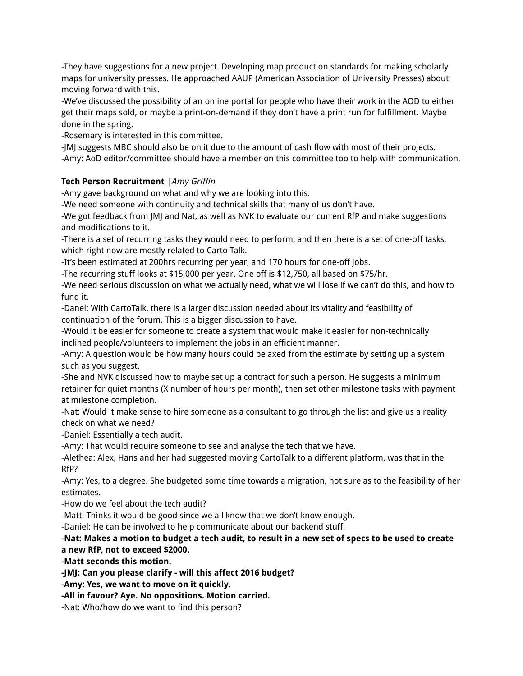-They have suggestions for a new project. Developing map production standards for making scholarly maps for university presses. He approached AAUP (American Association of University Presses) about moving forward with this.

-We've discussed the possibility of an online portal for people who have their work in the AOD to either get their maps sold, or maybe a print-on-demand if they don't have a print run for fulfillment. Maybe done in the spring.

-Rosemary is interested in this committee.

-JMJ suggests MBC should also be on it due to the amount of cash flow with most of their projects. -Amy: AoD editor/committee should have a member on this committee too to help with communication.

# **Tech Person Recruitment** |Amy Griffin

-Amy gave background on what and why we are looking into this.

-We need someone with continuity and technical skills that many of us don't have.

-We got feedback from JMJ and Nat, as well as NVK to evaluate our current RfP and make suggestions and modifications to it.

-There is a set of recurring tasks they would need to perform, and then there is a set of one-off tasks, which right now are mostly related to Carto-Talk.

-It's been estimated at 200hrs recurring per year, and 170 hours for one-off jobs.

-The recurring stuff looks at \$15,000 per year. One off is \$12,750, all based on \$75/hr.

-We need serious discussion on what we actually need, what we will lose if we can't do this, and how to fund it.

-Danel: With CartoTalk, there is a larger discussion needed about its vitality and feasibility of continuation of the forum. This is a bigger discussion to have.

-Would it be easier for someone to create a system that would make it easier for non-technically inclined people/volunteers to implement the jobs in an efficient manner.

-Amy: A question would be how many hours could be axed from the estimate by setting up a system such as you suggest.

-She and NVK discussed how to maybe set up a contract for such a person. He suggests a minimum retainer for quiet months (X number of hours per month), then set other milestone tasks with payment at milestone completion.

-Nat: Would it make sense to hire someone as a consultant to go through the list and give us a reality check on what we need?

-Daniel: Essentially a tech audit.

-Amy: That would require someone to see and analyse the tech that we have.

-Alethea: Alex, Hans and her had suggested moving CartoTalk to a different platform, was that in the RfP?

-Amy: Yes, to a degree. She budgeted some time towards a migration, not sure as to the feasibility of her estimates.

-How do we feel about the tech audit?

-Matt: Thinks it would be good since we all know that we don't know enough.

-Daniel: He can be involved to help communicate about our backend stuff.

# -Nat: Makes a motion to budget a tech audit, to result in a new set of specs to be used to create **a new RfP, not to exceed \$2000.**

**-Matt seconds this motion.**

**-JMJ: Can you please clarify - will this affect 2016 budget?**

**-Amy: Yes, we want to move on it quickly.**

**-All in favour? Aye. No oppositions. Motion carried.**

-Nat: Who/how do we want to find this person?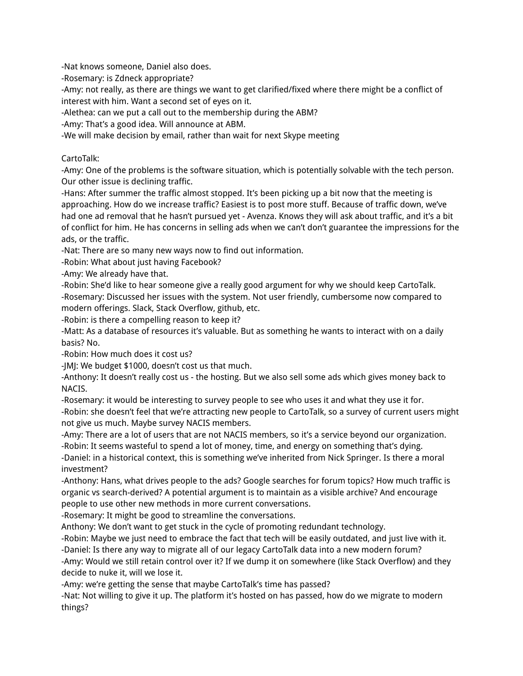-Nat knows someone, Daniel also does.

-Rosemary: is Zdneck appropriate?

-Amy: not really, as there are things we want to get clarified/fixed where there might be a conflict of interest with him. Want a second set of eyes on it.

-Alethea: can we put a call out to the membership during the ABM?

-Amy: That's a good idea. Will announce at ABM.

-We will make decision by email, rather than wait for next Skype meeting

#### CartoTalk:

-Amy: One of the problems is the software situation, which is potentially solvable with the tech person. Our other issue is declining traffic.

-Hans: After summer the traffic almost stopped. It's been picking up a bit now that the meeting is approaching. How do we increase traffic? Easiest is to post more stuff. Because of traffic down, we've had one ad removal that he hasn't pursued yet - Avenza. Knows they will ask about traffic, and it's a bit of conflict for him. He has concerns in selling ads when we can't don't guarantee the impressions for the ads, or the traffic.

-Nat: There are so many new ways now to find out information.

-Robin: What about just having Facebook?

-Amy: We already have that.

-Robin: She'd like to hear someone give a really good argument for why we should keep CartoTalk. -Rosemary: Discussed her issues with the system. Not user friendly, cumbersome now compared to modern offerings. Slack, Stack Overflow, github, etc.

-Robin: is there a compelling reason to keep it?

-Matt: As a database of resources it's valuable. But as something he wants to interact with on a daily basis? No.

-Robin: How much does it cost us?

-JMJ: We budget \$1000, doesn't cost us that much.

-Anthony: It doesn't really cost us - the hosting. But we also sell some ads which gives money back to NACIS.

-Rosemary: it would be interesting to survey people to see who uses it and what they use it for. -Robin: she doesn't feel that we're attracting new people to CartoTalk, so a survey of current users might not give us much. Maybe survey NACIS members.

-Amy: There are a lot of users that are not NACIS members, so it's a service beyond our organization. -Robin: It seems wasteful to spend a lot of money, time, and energy on something that's dying.

-Daniel: in a historical context, this is something we've inherited from Nick Springer. Is there a moral investment?

-Anthony: Hans, what drives people to the ads? Google searches for forum topics? How much traffic is organic vs search-derived? A potential argument is to maintain as a visible archive? And encourage people to use other new methods in more current conversations.

-Rosemary: It might be good to streamline the conversations.

Anthony: We don't want to get stuck in the cycle of promoting redundant technology.

-Robin: Maybe we just need to embrace the fact that tech will be easily outdated, and just live with it.

-Daniel: Is there any way to migrate all of our legacy CartoTalk data into a new modern forum? -Amy: Would we still retain control over it? If we dump it on somewhere (like Stack Overflow) and they decide to nuke it, will we lose it.

-Amy: we're getting the sense that maybe CartoTalk's time has passed?

-Nat: Not willing to give it up. The platform it's hosted on has passed, how do we migrate to modern things?